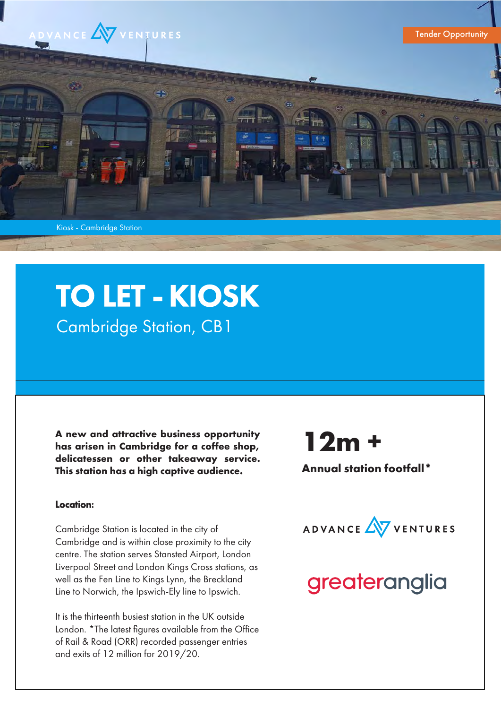

# TO LET - KIOSK Cambridge Station, CB1

**A new and attractive business opportunity has arisen in Cambridge for a coffee shop, delicatessen or other takeaway service. This station has a high captive audience.**

#### Location:

Cambridge Station is located in the city of Cambridge and is within close proximity to the city centre. The station serves Stansted Airport, London Liverpool Street and London Kings Cross stations, as well as the Fen Line to Kings Lynn, the Breckland Line to Norwich, the Ipswich-Ely line to Ipswich.

It is the thirteenth busiest station in the UK outside London. \*The latest figures available from the Office of Rail & Road (ORR) recorded passenger entries and exits of 12 million for 2019/20.

## **12m +**

**Annual station footfall\***



### greateranglia